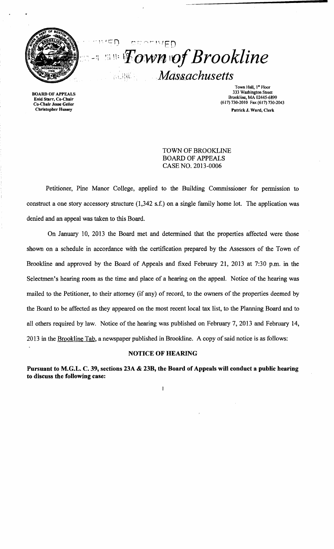

 $\overline{\mathcal{L}}$ **ATIVED Example 1:** Fown of Brookline Massachusetts

BOARD OF APPEALS Enid Starr. Co-Chair Co-Chalr Jesse Geller Chrlstopber Hussey

Town Hall, 1<sup>st</sup> Floor 333 Washington Street Brookline, MA 02445-6899 (617) 730-20lO Fax (617) 730-2043 Patrick J. Ward, Clerk

TOWN OF BROOKLINE BOARD OF APPEALS CASE NO. 2013-0006

Petitioner, Pine Manor College, applied to the Building Commissioner for permission to construct a one story accessory structure (1,342 s.f.) on a single family home lot. The application was denied and an appeal was taken to this Board.

On January 10, 2013 the Board met and determined that the properties affected were those shown on a schedule in accordance with the certification prepared by the Assessors of the Town of Brookline and approved by the Board of Appeals and fixed February 21, 2013 at 7:30 p.m. in the Selectmen's hearing room as the time and place of a hearing on the appeal. Notice of the hearing was mailed to the Petitioner, to their attorney (if any) of record, to the owners of the properties deemed by the Board to be affected as they appeared on the most recent local tax list, to the Planning Board and to all others required by law. Notice of the hearing was published on February 7, 2013 and February 14, 2013 in the Brookline Tab, a newspaper published in Brookline. A copy of said notice is as follows:

#### NOTICE OF HEARING

Pursuant to M.G.L. C. 39, sections 23A & 23B, the Board of Appeals will conduct a public hearing to discuss the following case:

 $\mathbf{I}$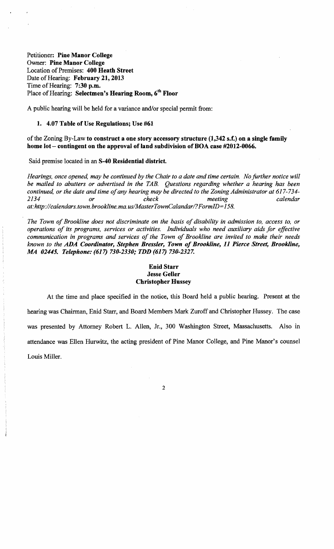Petitioner: Pine Manor College Owner: Pine Manor College Location of Premises: 400 Heath Street Date of Hearing: February 21, 2013 Time of Hearing: 7:30 p.m. Place of Hearing: Selectmen's Hearing Room, 6<sup>th</sup> Floor

A public hearing will be held for a variance and/or special permit from:

### 1. 4.07 Table of Use Regulations; Use #61

# of the Zoning By-Law to construct a one story accessory structure  $(1,342 \text{ s.f.})$  on a single family home lot - contingent on the approval of land subdivision of BOA case #2012-0066.

Said premise located in an S-40 Residential district.

*Hearings, once opened, may be continued by the Chair to a date and time certain. No further notice will be mailed to abutters or advertised in the TAB. Questions regarding whether a hearing has been continued, or the date and time of any hearing may be directed to the Zoning Administrator at 617-734-*<br>*check meeting calendar 2134 or check meeting calendar at:http://calendars.town.brookline.ma.usIMasterTownCalandarl? FormID= 158.* 

The Town of Brookline does not discriminate on the basis of disability in admission to, access to, or *operations of its programs, services or activities. Individuals who need auxiliary aids for effective communication in programs and services of the Town of Brookline are invited to make their needs known to the ADA Coordinator, Stephen Bressler, Town of Brookline,* 11 *Pierce Street, Brookline, MA 02445. Telephone:* (617) *730-2330; TDD* (617) *730-2327.* 

# Enid Starr Jesse Geller Christopher Hussey

At the time and place specified in the notice, this Board held a public hearing. Present at the hearing was Chairman, Enid Starr, and Board Members Mark Zuroff and Christopher Hussey. The case was presented by Attorney Robert L. Allen, Jr., 300 Washington Street, Massachusetts. Also in attendance was Ellen Hurwitz, the acting president of Pine Manor College, and Pine Manor's counsel Louis Miller.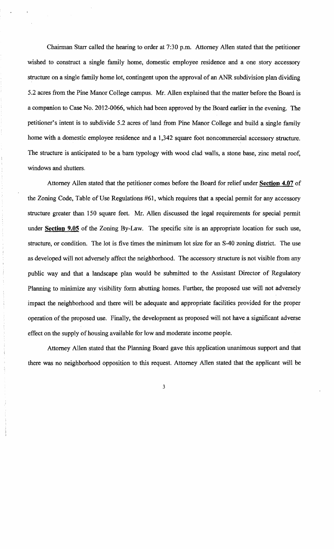Chairman Starr called the hearing to order at 7:30 p.m. Attorney Allen stated that the petitioner wished to construct a single family home, domestic employee residence and a one story accessory structure on a single family home lot, contingent upon the approval of an ANR subdivision plan dividing 5.2 acres from the Pine Manor College campus. Mr. Allen explained that the matter before the Board is a companion to Case No. 2012-0066, which had been approved by the Board earlier in the evening. The petitioner's intent is to subdivide 5.2 acres of land from Pine Manor College and build a single family home with a domestic employee residence and a 1,342 square foot noncommercial accessory structure. The structure is anticipated to be a barn typology with wood clad walls, a stone base, zinc metal roof, windows and shutters.

Attorney Allen stated that the petitioner comes before the Board for relief under **Section 4.07** of the Zoning Code, Table of Use Regulations #61, which requires that a special permit for any accessory structure greater than 150 square feet. Mr. Allen discussed the legal requirements for special permit under **Section 9.05** of the Zoning By-Law. The specific site is an appropriate location for such use, structure, or condition. The lot is five times the minimum lot size for an S-40 zoning district. The use as developed will not adversely affect the neighborhood. The accessory structure is not visible from any public way and that a landscape plan would be submitted to the Assistant Director of Regulatory Planning to minimize any visibility form abutting homes. Further, the proposed use will not adversely impact the neighborhood and there will be adequate and appropriate facilities provided for the proper operation of the proposed use. Finally, the development as proposed will not have a significant adverse effect on the supply of housing available for low and moderate income people.

Attorney Allen stated that the Planning Board gave this application unanimous support and that there was no neighborhood opposition to this request. Attorney Allen stated that the applicant will be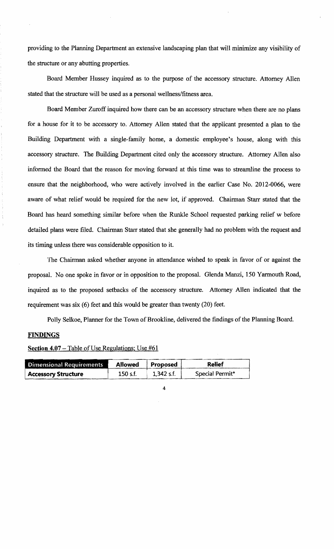providing to the Planning Department an extensive landscaping plan that will minimize any visibility of the structure or any abutting properties.

Board Member Hussey inquired as to the purpose of the accessory structure. Attorney Allen stated that the structure will be used as a personal wellness/fitness area.

Board Member Zuroff inquired how there can be an accessory structure when there are no plans for a house for it to be accessory to. Attorney Allen stated that the applicant presented a plan to the Building Department with a single-family home, a domestic employee's house, along with this accessory structure. The Building Department cited only the accessory structure. Attorney Allen also informed the Board that the reason for moving forward at this time was to streamline the process to ensure that the neighborhood, who were actively involved in the earlier Case No. 2012-0066, were aware of what relief would be required for the new lot, if approved. Chairman Starr stated that the Board has heard something similar before when the Runkle School requested parking relief w before detailed plans were filed. Chairman Starr stated that she generally had no problem with the request and its timing unless there was considerable opposition to it.

The Chairman asked whether anyone in attendance wished to speak in favor of or against the proposal. No one spoke in favor or in opposition to the proposal. Glenda Manzi, 150 Yarmouth Road, inquired as to the proposed setbacks of the accessory structure. Attorney Allen indicated that the requirement was six (6) feet and this would be greater than twenty (20) feet.

Polly Selkoe, Planner for the Town of Brookline, delivered the findings of the Planning Board.

#### **FINDINGS**

| Dimensional Requirements   | Allowed  | Proposed   | <b>Relief</b>   |
|----------------------------|----------|------------|-----------------|
| <b>Accessory Structure</b> | 150 s.f. | 1,342 s.f. | Special Permit* |

| Section 4.07 – Table of Use Regulations; Use #61 |  |  |  |  |  |  |
|--------------------------------------------------|--|--|--|--|--|--|
|--------------------------------------------------|--|--|--|--|--|--|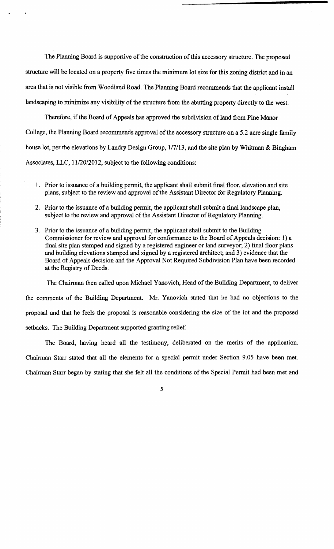The Planning Board is supportive of the construction of this accessory structure. The proposed structure will be located on a property five times the minimum lot size for this zoning district and in an area that is not visible from Woodland Road. The Planning Board recommends that the applicant install landscaping to minimize any visibility of the structure from the abutting property directly to the west.

Therefore, if the Board of Appeals has approved the subdivision of land from Pine Manor College, the Planning Board recommends approval of the accessory structure on a 5.2 acre single family house lot, per the elevations by Landry Design Group, 1/7/13, and the site plan by Whitman & Bingham Associates, LLC, 11/20/2012, subject to the following conditions:

- 1. Prior to issuance of a building permit, the applicant shall submit final floor, elevation and site plans, subject to the review and approval of the Assistant Director for Regulatory Planning.
- 2. Prior to the issuance of a building permit, the applicant shall submit a final landscape plan, subject to the review and approval of the Assistant Director of Regulatory Planning.
- 3. Prior to the issuance of a building permit, the applicant shall submit to the Building Commissioner for review and approval for conformance to the Board of Appeals decision: 1) a final site plan stamped and signed by a registered engineer or land surveyor; 2) final floor plans and building elevations stamped and signed by a registered architect; and 3) evidence that the Board of Appeals decision and the Approval Not Required Subdivision Plan have been recorded at the Registry of Deeds.

The Chairman then called upon Michael Yanovich, Head of the Building Department, to deliver the comments of the Building Department. Mr. Yanovich stated that he had no objections to the proposal and that he feels the proposal is reasonable considering the size of the lot and the proposed setbacks. The Building Department supported granting relief.

The Board, having heard all the testimony, deliberated on the merits of the application. Chairman Starr stated that all the elements for a special permit under Section 9.05 have been met. Chairman Starr began by stating that she felt all the conditions of the Special Permit had been met and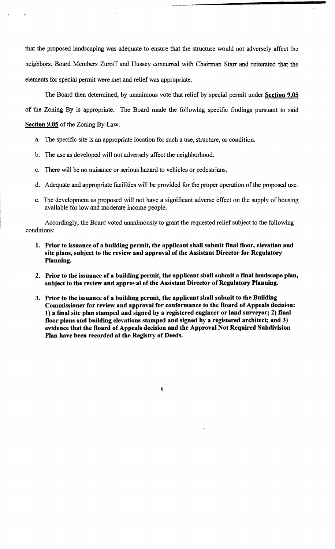that the proposed landscaping was adequate to ensure that the structure would not adversely affect the neighbors. Board Members Zuroff and Hussey concurred with Chairman Starr and reiterated that the elements for special permit were met and relief was appropriate.

The Board then determined, by unanimous vote that relief by special permit under Section 9.05 of the Zoning By is appropriate. The Board made the following specific findings pursuant to said Section 9.05 of the Zoning By-Law:

- a. The specific site is an appropriate location for such a use, structure, or condition.
- b. The use as developed will not adversely affect the neighborhood.
- c. There will be no nuisance or serious hazard to vehicles or pedestrians.
- d. Adequate and appropriate facilities will be provided for the proper operation of the proposed use.
- e. The development as proposed will not have a significant adverse effect on the supply of housing available for low and moderate income people.

Accordingly, the Board voted unanimously to grant the requested relief subject to the following conditions:

- 1. Prior to issuance of a building permit, the applicant shall submit final floor, elevation and site plans, subject to the review and approval of the Assistant Director for Regulatory Planning.
- 2. Prior to the issuance of a building permit, the applicant shall submit a final landscape plan, subject to the review and approval of the Assistant Director of Regulatory Planning.
- 3. Prior to the issuance of a building permit, the applicant shall submit to the Building Commissioner for review and approval for conformance to the Board of Appeals decision: 1) a final site plan stamped and signed by a registered engineer or land surveyor; 2) final floor plans and building elevations stamped and signed by a registered architect; and 3) evidence that the Board of Appeals decision and the Approval Not Required Subdivision Plan have been recorded at the Registry of Deeds.